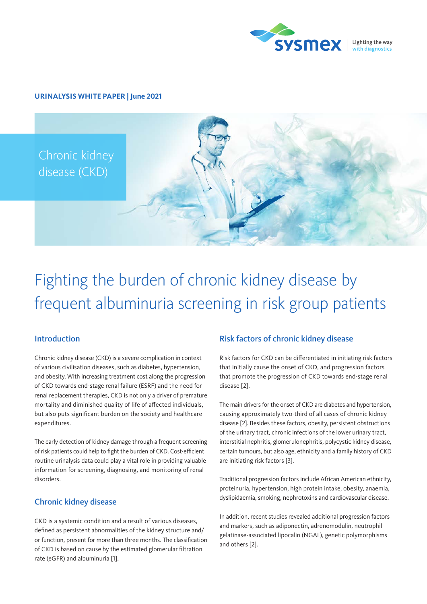

## **URINALYSIS WHITE PAPER | June 2021**



# Fighting the burden of chronic kidney disease by frequent albuminuria screening in risk group patients

# Introduction

Chronic kidney disease (CKD) is a severe complication in context of various civilisation diseases, such as diabetes, hypertension, and obesity. With increasing treatment cost along the progression of CKD towards end-stage renal failure (ESRF) and the need for renal replacement therapies, CKD is not only a driver of premature mortality and diminished quality of life of affected individuals, but also puts significant burden on the society and healthcare expenditures.

The early detection of kidney damage through a frequent screening of risk patients could help to fight the burden of CKD. Cost-efficient routine urinalysis data could play a vital role in providing valuable information for screening, diagnosing, and monitoring of renal disorders.

# Chronic kidney disease

CKD is a systemic condition and a result of various diseases, defined as persistent abnormalities of the kidney structure and/ or function, present for more than three months. The classification of CKD is based on cause by the estimated glomerular filtration rate (eGFR) and albuminuria [1].

# Risk factors of chronic kidney disease

Risk factors for CKD can be differentiated in initiating risk factors that initially cause the onset of CKD, and progression factors that promote the progression of CKD towards end-stage renal disease [2].

The main drivers for the onset of CKD are diabetes and hypertension, causing approximately two-third of all cases of chronic kidney disease [2]. Besides these factors, obesity, persistent obstructions of the urinary tract, chronic infections of the lower urinary tract, interstitial nephritis, glomerulonephritis, polycystic kidney disease, certain tumours, but also age, ethnicity and a family history of CKD are initiating risk factors [3].

Traditional progression factors include African American ethnicity, proteinuria, hypertension, high protein intake, obesity, anaemia, dyslipidaemia, smoking, nephrotoxins and cardiovascular disease.

In addition, recent studies revealed additional progression factors and markers, such as adiponectin, adrenomodulin, neutrophil gelatinase-associated lipocalin (NGAL), genetic polymorphisms and others [2].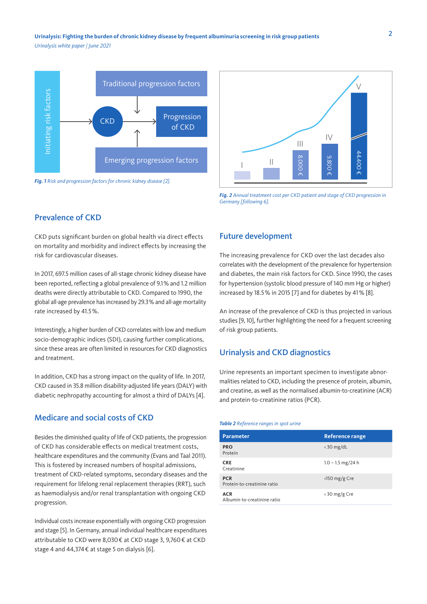2 **Urinalysis: Fighting the burden of chronic kidney disease by frequent albuminuria screening in risk group patients** *Urinalysis white paper | June 2021*



*Fig. 1 Risk and progression factors for chronic kidney disease [2].*



*Fig. 2 Annual treatment cost per CKD patient and stage of CKD progression in Germany [following 6].*

# Prevalence of CKD

CKD puts significant burden on global health via direct effects on mortality and morbidity and indirect effects by increasing the risk for cardiovascular diseases.

In 2017, 697.5 million cases of all-stage chronic kidney disease have been reported, reflecting a global prevalence of 9.1% and 1.2 million deaths were directly attributable to CKD. Compared to 1990, the global all-age prevalence has increased by 29.3% and all-age mortality rate increased by 41.5%.

Interestingly, a higher burden of CKD correlates with low and medium socio-demographic indices (SDI), causing further complications, since these areas are often limited in resources for CKD diagnostics and treatment.

In addition, CKD has a strong impact on the quality of life. In 2017, CKD caused in 35.8 million disability-adjusted life years (DALY) with diabetic nephropathy accounting for almost a third of DALYs [4].

## Medicare and social costs of CKD

Besides the diminished quality of life of CKD patients, the progression of CKD has considerable effects on medical treatment costs, healthcare expenditures and the community (Evans and Taal 2011). This is fostered by increased numbers of hospital admissions, treatment of CKD-related symptoms, secondary diseases and the requirement for lifelong renal replacement therapies (RRT), such as haemodialysis and/or renal transplantation with ongoing CKD progression.

Individual costs increase exponentially with ongoing CKD progression and stage [5]. In Germany, annual individual healthcare expenditures attributable to CKD were 8,030€ at CKD stage 3, 9,760€ at CKD stage 4 and 44,374€ at stage 5 on dialysis [6].

## Future development

The increasing prevalence for CKD over the last decades also correlates with the development of the prevalence for hypertension and diabetes, the main risk factors for CKD. Since 1990, the cases for hypertension (systolic blood pressure of 140 mm Hg or higher) increased by 18.5% in 2015 [7] and for diabetes by 41% [8].

An increase of the prevalence of CKD is thus projected in various studies [9, 10], further highlighting the need for a frequent screening of risk group patients.

## Urinalysis and CKD diagnostics

Urine represents an important specimen to investigate abnormalities related to CKD, including the presence of protein, albumin, and creatine, as well as the normalised albumin-to-creatinine (ACR) and protein-to-creatinine ratios (PCR).

#### *Table 2 Reference ranges in spot urine*

| <b>Parameter</b>                          | <b>Reference range</b>        |
|-------------------------------------------|-------------------------------|
| <b>PRO</b><br>Protein                     | $\langle$ 30 mg/dL            |
| <b>CRE</b><br>Creatinine                  | $1.0 - 1.5$ mg/24 h           |
| <b>PCR</b><br>Protein-to-creatinine ratio | $\langle$ 150 mg/g Cre        |
| <b>ACR</b><br>Albumin-to-creatinine ratio | $\langle 30 \rangle$ mg/g Cre |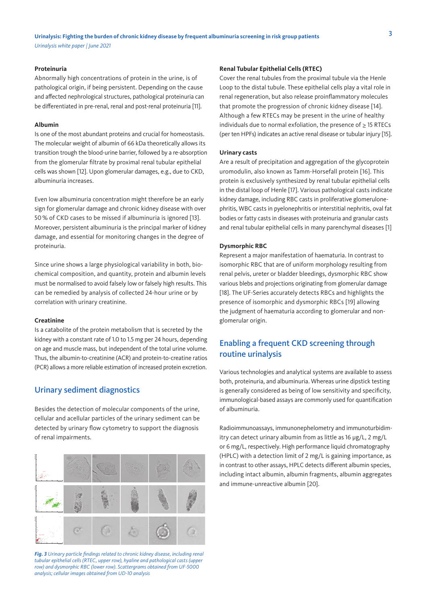#### **Proteinuria**

Abnormally high concentrations of protein in the urine, is of pathological origin, if being persistent. Depending on the cause and affected nephrological structures, pathological proteinuria can be differentiated in pre-renal, renal and post-renal proteinuria [11].

#### **Albumin**

Is one of the most abundant proteins and crucial for homeostasis. The molecular weight of albumin of 66 kDa theoretically allows its transition trough the blood-urine barrier, followed by a re-absorption from the glomerular filtrate by proximal renal tubular epithelial cells was shown [12]. Upon glomerular damages, e.g., due to CKD, albuminuria increases.

Even low albuminuria concentration might therefore be an early sign for glomerular damage and chronic kidney disease with over 50 % of CKD cases to be missed if albuminuria is ignored [13]. Moreover, persistent albuminuria is the principal marker of kidney damage, and essential for monitoring changes in the degree of proteinuria.

Since urine shows a large physiological variability in both, biochemical composition, and quantity, protein and albumin levels must be normalised to avoid falsely low or falsely high results. This can be remedied by analysis of collected 24-hour urine or by correlation with urinary creatinine.

#### **Creatinine**

Is a catabolite of the protein metabolism that is secreted by the kidney with a constant rate of 1.0 to 1.5 mg per 24 hours, depending on age and muscle mass, but independent of the total urine volume. Thus, the albumin-to-creatinine (ACR) and protein-to-creatine ratios (PCR) allows a more reliable estimation of increased protein excretion.

## Urinary sediment diagnostics

Besides the detection of molecular components of the urine, cellular and acellular particles of the urinary sediment can be detected by urinary flow cytometry to support the diagnosis of renal impairments.



*Fig. 3 Urinary particle findings related to chronic kidney disease, including renal tubular epithelial cells (RTEC, upper row), hyaline and pathological casts (upper row) and dysmorphic RBC (lower row). Scattergrams obtained from UF-5000 analysis; cellular images obtained from UD-10 analysis*

#### **Renal Tubular Epithelial Cells (RTEC)**

Cover the renal tubules from the proximal tubule via the Henle Loop to the distal tubule. These epithelial cells play a vital role in renal regeneration, but also release proinflammatory molecules that promote the progression of chronic kidney disease [14]. Although a few RTECs may be present in the urine of healthy individuals due to normal exfoliation, the presence of ≥ 15 RTECs (per ten HPFs) indicates an active renal disease or tubular injury [15].

#### **Urinary casts**

Are a result of precipitation and aggregation of the glycoprotein uromodulin, also known as Tamm-Horsefall protein [16]. This protein is exclusively synthesized by renal tubular epithelial cells in the distal loop of Henle [17]. Various pathological casts indicate kidney damage, including RBC casts in proliferative glomerulonephritis, WBC casts in pyelonephritis or interstitial nephritis, oval fat bodies or fatty casts in diseases with proteinuria and granular casts and renal tubular epithelial cells in many parenchymal diseases [1]

#### **Dysmorphic RBC**

Represent a major manifestation of haematuria. In contrast to isomorphic RBC that are of uniform morphology resulting from renal pelvis, ureter or bladder bleedings, dysmorphic RBC show various blebs and projections originating from glomerular damage [18]. The UF-Series accurately detects RBCs and highlights the presence of isomorphic and dysmorphic RBCs [19] allowing the judgment of haematuria according to glomerular and nonglomerular origin.

# Enabling a frequent CKD screening through routine urinalysis

Various technologies and analytical systems are available to assess both, proteinuria, and albuminuria. Whereas urine dipstick testing is generally considered as being of low sensitivity and specificity, immunological-based assays are commonly used for quantification of albuminuria.

Radioimmunoassays, immunonephelometry and immunoturbidimitry can detect urinary albumin from as little as 16 µg/L, 2 mg/L or 6 mg/L, respectively. High performance liquid chromatography (HPLC) with a detection limit of 2 mg/L is gaining importance, as in contrast to other assays, HPLC detects different albumin species, including intact albumin, albumin fragments, albumin aggregates and immune-unreactive albumin [20].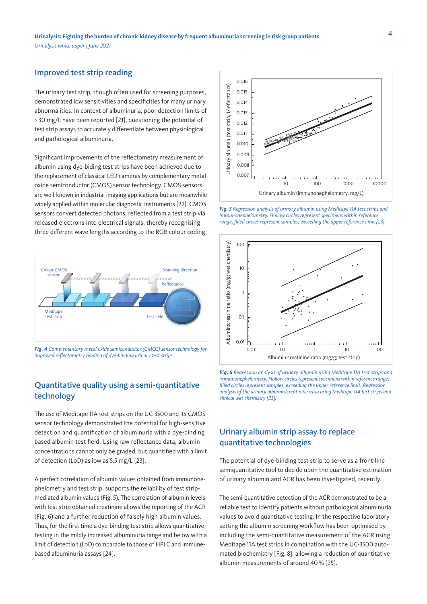## Improved test strip reading

The urinary test strip, though often used for screening purposes, demonstrated low sensitivities and specificities for many urinary abnormalities. In context of albuminuria, poor detection limits of > 30 mg/L have been reported [21], questioning the potential of test strip assays to accurately differentiate between physiological and pathological albuminuria.

Significant improvements of the reflectometry measurement of albumin using dye-biding test strips have been achieved due to the replacement of classical LED cameras by complementary metal oxide semiconductor (CMOS) sensor technology. CMOS sensors are well-known in industrial imaging applications but are meanwhile widely applied within molecular diagnostic instruments [22]. CMOS sensors convert detected photons, reflected from a test strip via released electrons into electrical signals, thereby recognising three different wave lengths according to the RGB colour coding.



*Fig. 4 Complementary metal oxide semiconductor (CMOS) sensor technology for improved reflectometry reading of dye-binding urinary test strips.*

# Quantitative quality using a semi-quantitative technology

The use of Meditape 11A test strips on the UC-3500 and its CMOS sensor technology demonstrated the potential for high-sensitive detection and quantification of albuminuria with a dye-binding based albumin test field. Using raw reflectance data, albumin concentrations cannot only be graded, but quantified with a limit of detection (LoD) as low as 5.5 mg/L [23].

A perfect correlation of albumin values obtained from immunonephelometry and test strip, supports the reliability of test stripmediated albumin values (Fig. 5). The correlation of albumin levels with test strip obtained creatinine allows the reporting of the ACR (Fig. 6) and a further reduction of falsely high albumin values. Thus, for the first time a dye-binding test strip allows quantitative testing in the mildly increased albuminuria range and below with a limit of detection (LoD) comparable to those of HPLC and immunebased albuminuria assays [24].



*Fig. 5 Regression analysis of urinary albumin using Meditape 11A test strips and immunonephelometry. Hollow circles represent specimens within reference range, filled circles represent samples, exceeding the upper reference limit [23].*



*Fig. 6 Regression analysis of urinary albumin using Meditape 11A test strips and immunonephelometry. Hollow circles represent specimens within reference range, filled circles represent samples, exceeding the upper reference limit. Regression analysis of the urinary albumin/creatinine ratio using Meditape 11A test strips and clinical wet chemistry [23].*

# Urinary albumin strip assay to replace quantitative technologies

The potential of dye-binding test strip to serve as a front-line semiquantitative tool to decide upon the quantitative estimation of urinary albumin and ACR has been investigated, recently.

The semi-quantitative detection of the ACR demonstrated to be a reliable test to identify patients without pathological albuminuria values to avoid quantitative testing. In the respective laboratory setting the albumin screening workflow has been optimised by including the semi-quantitative measurement of the ACR using Meditape 11A test strips in combination with the UC-3500 automated biochemistry [Fig. 8], allowing a reduction of quantitative albumin measurements of around 40% [25].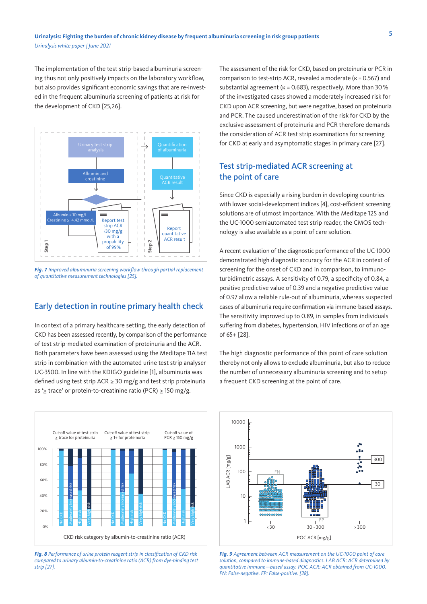The implementation of the test strip-based albuminuria screening thus not only positively impacts on the laboratory workflow, but also provides significant economic savings that are re-invested in the frequent albuminuria screening of patients at risk for the development of CKD [25,26].



*Fig. 7 Improved albuminuria screening workflow through partial replacement of quantitative measurement technologies [25].*

# Early detection in routine primary health check

In context of a primary healthcare setting, the early detection of CKD has been assessed recently, by comparison of the performance of test strip-mediated examination of proteinuria and the ACR. Both parameters have been assessed using the Meditape 11A test strip in combination with the automated urine test strip analyser UC-3500. In line with the KDIGO guideline [1], albuminuria was defined using test strip  $ACR \ge 30$  mg/g and test strip proteinuria as '≥ trace' or protein-to-creatinine ratio (PCR) ≥ 150 mg/g.



*Fig. 8 Performance of urine protein reagent strip in classification of CKD risk compared to urinary albumin-to-creatinine ratio (ACR) from dye-binding test strip [27].*

The assessment of the risk for CKD, based on proteinuria or PCR in comparison to test-strip ACR, revealed a moderate ( $k = 0.567$ ) and substantial agreement ( $k = 0.683$ ), respectively. More than 30% of the investigated cases showed a moderately increased risk for CKD upon ACR screening, but were negative, based on proteinuria and PCR. The caused underestimation of the risk for CKD by the exclusive assessment of proteinuria and PCR therefore demands the consideration of ACR test strip examinations for screening for CKD at early and asymptomatic stages in primary care [27].

# Test strip-mediated ACR screening at the point of care

Since CKD is especially a rising burden in developing countries with lower social-development indices [4], cost-efficient screening solutions are of utmost importance. With the Meditape 12S and the UC-1000 semiautomated test strip reader, the CMOS technology is also available as a point of care solution.

A recent evaluation of the diagnostic performance of the UC-1000 demonstrated high diagnostic accuracy for the ACR in context of screening for the onset of CKD and in comparison, to immunoturbidimetric assays. A sensitivity of 0.79, a specificity of 0.84, a positive predictive value of 0.39 and a negative predictive value of 0.97 allow a reliable rule-out of albuminuria, whereas suspected cases of albuminuria require confirmation via immune-based assays. The sensitivity improved up to 0.89, in samples from individuals suffering from diabetes, hypertension, HIV infections or of an age of 65+ [28].

The high diagnostic performance of this point of care solution thereby not only allows to exclude albuminuria, but also to reduce the number of unnecessary albuminuria screening and to setup a frequent CKD screening at the point of care.



*Fig. 9 Agreement between ACR measurement on the UC-1000 point of care solution, compared to immune-based diagnostics. LAB ACR: ACR determined by quantitative immune—based assay. POC ACR: ACR obtained from UC-1000. FN: False-negative. FP: False-positive. [28].*